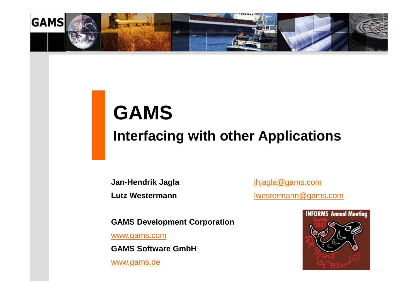

# **GAMS Interfacing with other Applications**

**Jan-Hendrik Jagla** [jhjagla@gams.com](mailto:jhjagla@gams.com)

**Lutz Westermann [lwestermann@gams.com](mailto:lwestermann@gams.com)** 

**GAMS Development Corporation** 

[www.gams.com](http://www.gams.com)

**GAMS Software GmbH**

[www.gams.de](http://www.gams.de)

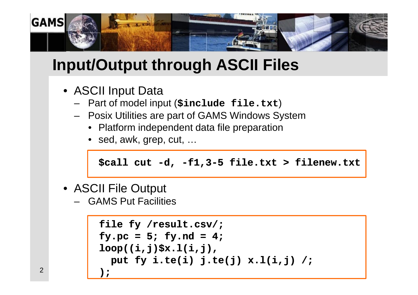

# **Input/Output through ASCII Files**

- ASCII Input Data
	- Part of model input (**\$include file.txt**)
	- Posix Utilities are part of GAMS Windows System
		- Platform independent data file preparation
		- sed, awk, grep, cut, ...

```
$call cut -d, -f1,3-5 file.txt > filenew.txt
```
- ASCII File Output
	- GAMS Put Facilities

```
file fy /result.csv/;
fy.pc = 5; fy.nd = 4;loop((i,j)$x.l(i,j),
 put fy i.te(i) j.te(j) x.l(i,j) /;
);
```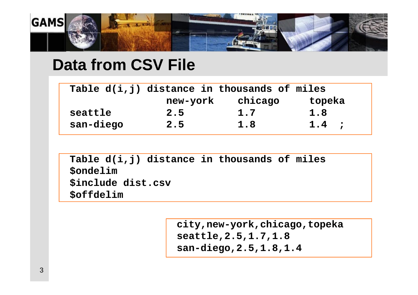

#### **Data from CSV File**

|           | Table d(i,j) distance in thousands of miles |         |         |
|-----------|---------------------------------------------|---------|---------|
|           | new-york                                    | chicago | topeka  |
| seattle   | 2.5                                         | 1.7     | 1.8     |
| san-diego | 2.5                                         | 1.8     | $1.4$ ; |

**Table d(i,j) distance in thousands of miles \$ondelim \$include dist.csv \$offdelim**

> **city,new-york,chicago,topeka seattle,2.5,1.7,1.8 san-diego,2.5,1.8,1.4**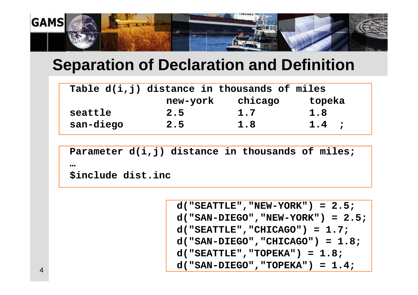

# **Separation of Declaration and Definition**

|           | Table d(i,j) distance in thousands of miles |         |         |
|-----------|---------------------------------------------|---------|---------|
|           | new-york                                    | chicago | topeka  |
| seattle   | 2.5                                         | 1.7     | 1.8     |
| san-diego | 2.5                                         | 1.8     | $1.4$ ; |

**Parameter d(i,j) distance in thousands of miles; … \$include dist.inc**

> **d("SEATTLE","NEW-YORK") = 2.5; d("SAN-DIEGO","NEW-YORK") = 2.5; d("SEATTLE","CHICAGO") = 1.7; d("SAN-DIEGO","CHICAGO") = 1.8; d("SEATTLE","TOPEKA") = 1.8; d("SAN-DIEGO","TOPEKA") = 1.4;**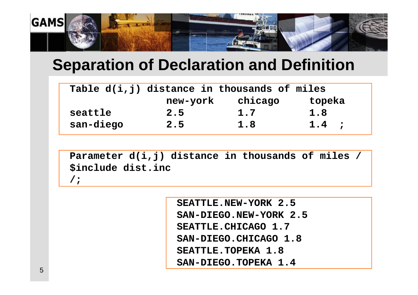

# **Separation of Declaration and Definition**

|           | Table d(i,j) distance in thousands of miles |         |         |
|-----------|---------------------------------------------|---------|---------|
|           | new-york                                    | chicago | topeka  |
| seattle   | 2.5                                         | 1.7     | 1.8     |
| san-diego | 2.5                                         | 1.8     | $1.4$ ; |

**Parameter d(i,j) distance in thousands of miles / \$include dist.inc /;**

> **SEATTLE.NEW-YORK 2.5 SAN-DIEGO.NEW-YORK 2.5 SEATTLE.CHICAGO 1.7 SAN-DIEGO.CHICAGO 1.8 SEATTLE.TOPEKA 1.8 SAN-DIEGO.TOPEKA 1.4**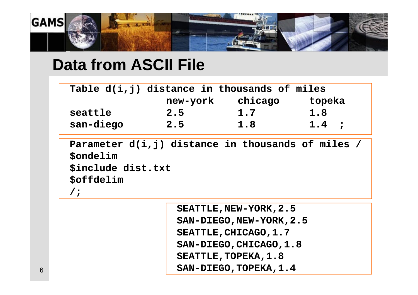

### **Data from ASCII File**

|           | Table d(i,j) distance in thousands of miles |         |         |
|-----------|---------------------------------------------|---------|---------|
|           | new-york                                    | chicago | topeka  |
| seattle   | 2.5                                         | 1.7     | 1.8     |
| san-diego | 2.5                                         | 1.8     | $1.4$ ; |

**Parameter d(i,j) distance in thousands of miles / \$ondelim \$include dist.txt \$offdelim /;**

> **SEATTLE,NEW-YORK,2.5 SAN-DIEGO,NEW-YORK,2.5** SEATTLE, CHICAGO, 1.7 **SAN-DIEGO,CHICAGO,1.8 SEATTLE,TOPEKA,1.8 SAN-DIEGO,TOPEKA,1.4**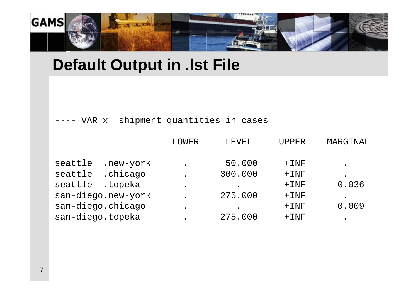

#### **Default Output in .lst File**

---- VAR x shipment quantities in cases

|                     | LOWER | <b>LEVEL</b> | <b>UPPER</b> | MARGINAL |
|---------------------|-------|--------------|--------------|----------|
|                     |       |              |              |          |
| seattle .new-york   |       | 50.000       | $+$ INF      |          |
| .chicago<br>seattle |       | 300.000      | $+$ $1NF$    |          |
| seattle .topeka     |       |              | $+$ INF      | 0.036    |
| san-diego.new-york  |       | 275.000      | $+$ $1NF$    |          |
| san-diego.chicago   |       |              | $+$ $1NF$    | 0.009    |
| san-diego.topeka    |       | 275.000      | $+$ $1NF$    |          |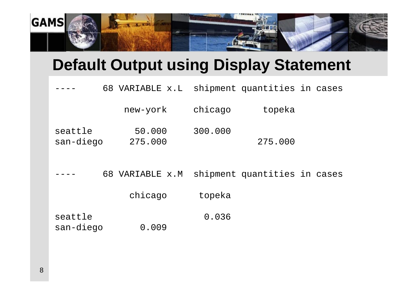

# **Default Output using Display Statement**

|                      | 68 VARIABLE x.L   |         | shipment quantities in cases |  |
|----------------------|-------------------|---------|------------------------------|--|
|                      | new-york          | chicago | topeka                       |  |
| seattle<br>san-diego | 50.000<br>275.000 | 300.000 | 275.000                      |  |
|                      | 68 VARIABLE x.M   |         | shipment quantities in cases |  |
|                      | chicago           | topeka  |                              |  |
| seattle<br>san-diego | 0.009             | 0.036   |                              |  |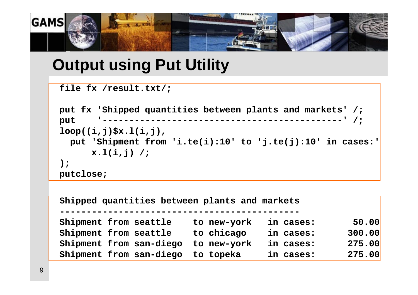

# **Output using Put Utility**

```
file fx /result.txt/;
```

```
put fx 'Shipped quantities between plants and markets' /;
put '---------------------------------------------' /;
loop((i,j)$x.l(i,j),
 put 'Shipment from 'i.te(i):10' to 'j.te(j):10' in cases:' 
     x.l(i,j) /;
);
putclose;
```

| Shipped quantities between plants and markets |             |           |        |  |  |  |  |  |  |
|-----------------------------------------------|-------------|-----------|--------|--|--|--|--|--|--|
| Shipment from seattle                         | to new-york | in cases: | 50.00  |  |  |  |  |  |  |
| Shipment from seattle                         | to chicago  | in cases: | 300.00 |  |  |  |  |  |  |
| Shipment from san-diego                       | to new-york | in cases: | 275.00 |  |  |  |  |  |  |
| Shipment from san-diego to topeka             |             | in cases: | 275.00 |  |  |  |  |  |  |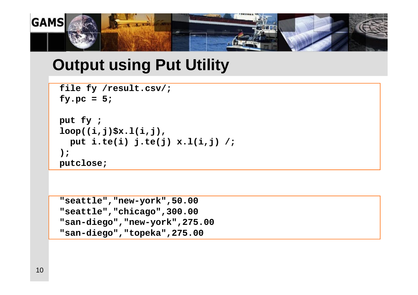

## **Output using Put Utility**

```
file fy /result.csv/;
fy.pc = 5;
```

```
put fy ;
loop((i,j)$x.l(i,j),
  put i.te(i) j.te(j) x.l(i,j) /;
);
putclose;
```

```
"seattle","new-york",50.00
"seattle","chicago",300.00
"san-diego","new-york",275.00
"san-diego","topeka",275.00
```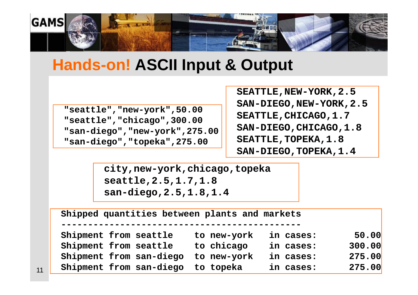

#### **Hands-on! ASCII Input & Output**

**"seattle","new-york",50.00 "seattle","chicago",300.00 "san-diego","new-york",275.00 "san-diego","topeka",275.00**

**SEATTLE,NEW-YORK,2.5 SAN-DIEGO,NEW-YORK,2.5 SEATTLE,CHICAGO,1.7 SAN-DIEGO,CHICAGO,1.8 SEATTLE,TOPEKA,1.8 SAN-DIEGO,TOPEKA,1.4**

**city,new-york,chicago,topeka seattle,2.5,1.7,1.8 san-diego,2.5,1.8,1.4**

| Shipped quantities between plants and markets |             |           |        |  |  |  |  |  |  |  |
|-----------------------------------------------|-------------|-----------|--------|--|--|--|--|--|--|--|
| Shipment from seattle                         | to new-york | in cases: | 50.00  |  |  |  |  |  |  |  |
| Shipment from seattle                         | to chicago  | in cases: | 300.00 |  |  |  |  |  |  |  |
| Shipment from san-diego                       | to new-york | in cases: | 275.00 |  |  |  |  |  |  |  |
| Shipment from san-diego to topeka             |             | in cases: | 275.00 |  |  |  |  |  |  |  |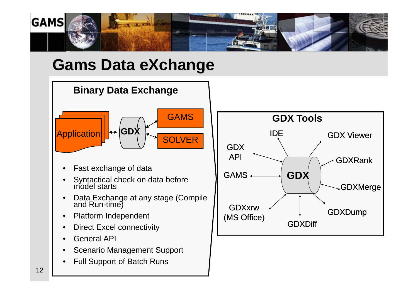

# **Gams Data eXchange**

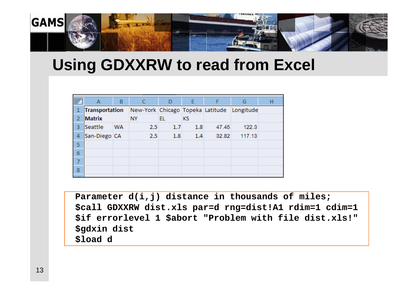

#### **Using GDXXRW to read from Excel**

|   | A              | B         | C.                                         | D         | E         | F     | G      | н |
|---|----------------|-----------|--------------------------------------------|-----------|-----------|-------|--------|---|
| 1 | Transportation |           | New-York Chicago Topeka Latitude Longitude |           |           |       |        |   |
| 2 | <b>Matrix</b>  |           | <b>NY</b>                                  | <b>EL</b> | <b>KS</b> |       |        |   |
| 3 | Seattle        | <b>WA</b> | 2.5                                        | 1.7       | 1.8       | 47.45 | 122.3  |   |
| 4 | San-Diego CA   |           | 2.5                                        | 1.8       | 1.4       | 32.82 | 117.13 |   |
| 5 |                |           |                                            |           |           |       |        |   |
| 6 |                |           |                                            |           |           |       |        |   |
| 7 |                |           |                                            |           |           |       |        |   |
| 8 |                |           |                                            |           |           |       |        |   |
|   |                |           |                                            |           |           |       |        |   |

**Parameter d(i,j) distance in thousands of miles; \$call GDXXRW dist.xls par=d rng=dist!A1 rdim=1 cdim=1 \$if errorlevel 1 \$abort "Problem with file dist.xls!" \$gdxin dist \$load d**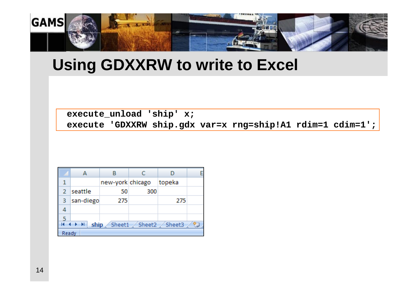

#### **Using GDXXRW to write to Excel**

**execute\_unload 'ship' x; execute 'GDXXRW ship.gdx var=x rng=ship!A1 rdim=1 cdim=1';**

|       |           | new-york chicago |                                      | topeka |               |
|-------|-----------|------------------|--------------------------------------|--------|---------------|
|       | seattle   | 50               | 300                                  |        |               |
| 3     | san-diego | 275              |                                      | 275    |               |
| 4     |           |                  |                                      |        |               |
|       |           |                  |                                      |        |               |
|       |           |                  | $\mathsf{ship}$ Sheet1 Sheet2 Sheet3 |        | $\mathcal{L}$ |
| Ready |           |                  |                                      |        |               |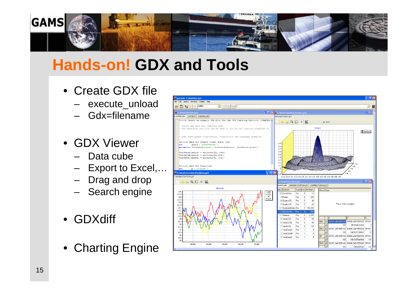

# **Hands-on! GDX and Tools**

- Create GDX file
	- execute\_unload
	- Gdx=filename
- GDX Viewer
	- Data cube
	- Export to Excel,...
	- Drag and drop
	- Search engine
- GDXdiff
- Charting Engine

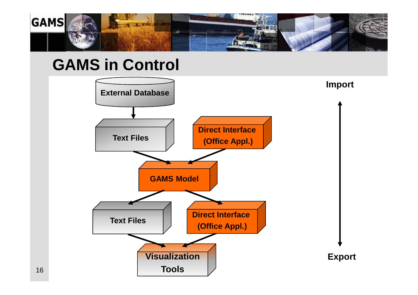

#### **GAMS in Control**

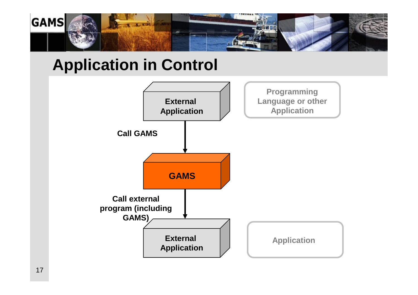

# **Application in Control**

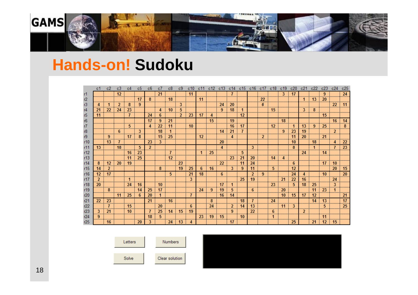

## **Hands-on! Sudoku**

|     | c1               |                    | c3        |                |                |                 |                | c8              | c9              |                |                 | c12              |                  | c14                                       | c15 | c16.            | C1             | c18                |                |                  |                | c22            | c23             | c24             | c25             |
|-----|------------------|--------------------|-----------|----------------|----------------|-----------------|----------------|-----------------|-----------------|----------------|-----------------|------------------|------------------|-------------------------------------------|-----|-----------------|----------------|--------------------|----------------|------------------|----------------|----------------|-----------------|-----------------|-----------------|
|     |                  |                    | 12        |                |                |                 | 21             |                 |                 | 11             |                 |                  |                  |                                           |     |                 |                |                    | 3.             | 17               |                |                |                 |                 | 24              |
| r2  |                  |                    |           |                | 17             | 8               |                | 18              |                 |                | 11              |                  |                  |                                           |     |                 | 22             |                    |                |                  | 11             | 13             | <b>20</b>       |                 |                 |
| r3  |                  |                    | 2         | 8              | 9              |                 |                |                 | 3               |                |                 |                  | : 24             | -20                                       |     |                 | 6 <sup>1</sup> |                    |                |                  |                |                |                 |                 | 22   11         |
| r4  | 21               | 22                 | 24        | 23             |                |                 | 4              | -10             | 5               |                |                 |                  | 9                | 18                                        |     |                 |                | $\vert$ 15 $\vert$ |                |                  | 3 <sup>1</sup> | 8 <sup>1</sup> |                 |                 |                 |
| r5  | 11               |                    |           | 7              |                | 24              | 6              |                 | $\mathbf{2}$    | 23             | 17              | $\overline{4}$   |                  |                                           | 12  |                 |                |                    |                |                  |                |                | 15              |                 |                 |
| r6  |                  |                    |           |                |                | 17              |                | 21              |                 |                |                 | 15 <sub>15</sub> |                  | $\vert$ 19                                |     |                 |                |                    | 18             |                  |                |                |                 | 16              | 14              |
| r7  |                  |                    |           | 5 <sup>5</sup> |                | 4               | 22             | -11             |                 | 10             |                 |                  |                  | $\frac{1}{16}$ 16 17                      |     |                 |                | 12                 |                |                  | 13             | 9 <sup>1</sup> | 25 <sup>1</sup> |                 | - 8             |
| r8  |                  |                    | 6         |                | 3              |                 | 18             |                 |                 |                |                 |                  | $14 \div 21$     |                                           |     |                 |                |                    | 9 <sup>1</sup> | 23               | 19             |                |                 | $\overline{2}$  |                 |
| r9  |                  | 9                  |           | 17             | 8              |                 | 15             | 25              |                 |                | 12 <sup>1</sup> |                  |                  | $\overline{4}$                            |     |                 | $\overline{2}$ |                    |                | 11               | 20             |                | 21              |                 |                 |
| r10 |                  | 13                 |           |                |                | 23              | 3.             |                 |                 |                |                 |                  | 20               |                                           |     |                 |                |                    |                | 10               |                | 18             |                 | 4               | 22              |
| r11 | 13 <sup>13</sup> |                    | 18        |                | 5              | $\overline{2}$  |                |                 |                 |                |                 |                  | 4                |                                           |     | 3               |                |                    |                | 8                |                |                |                 |                 | 23 <sub>2</sub> |
| r12 |                  |                    |           | 16             | 23             |                 |                | -7              |                 |                | 1.              | 25               |                  |                                           | -5  |                 |                |                    |                |                  | 24             |                | $\pm$ 14        |                 |                 |
| r13 |                  |                    |           | 11             | 25             |                 |                | 12 <sup>1</sup> |                 |                |                 |                  |                  | $\pm 23$                                  | 21  | <b>20</b>       |                |                    | $14 \t 4$      |                  |                |                |                 |                 |                 |
| r14 | -8               | $\vert$ 12 $\vert$ | <b>20</b> | - 19           |                |                 |                |                 | $\frac{1}{23}$  |                |                 |                  | $22 \frac{1}{2}$ |                                           | 11  | 24              |                |                    |                | $6^{\circ}$      |                |                | 17:10           |                 |                 |
| r15 | 14               | 2                  |           |                |                |                 | 8 <sup>°</sup> |                 | 19 <sup>1</sup> | 25             | 6               | 16               |                  | 3                                         | 9   | 11              |                | 5                  |                | 12               |                |                |                 | 20 <sup>°</sup> | 15              |
| r16 | 12 <sub>2</sub>  | 17                 |           |                |                |                 |                | -5              |                 | 21             | 18              |                  | 6                |                                           |     | $\overline{2}$  | 9              |                    |                | 24               |                |                | i 10 i          |                 | 20              |
| r17 | $\mathcal{P}$    |                    |           | $\blacksquare$ |                |                 |                |                 |                 | $\overline{3}$ |                 |                  |                  |                                           | 25  | 19              |                |                    | 21             | 22               | 16             |                |                 | 24              |                 |
| r18 | <b>20</b>        |                    |           | 24             | 16             |                 | 10             |                 |                 |                |                 |                  | 17               |                                           |     |                 |                | 23 <sup>1</sup>    |                | 5                | 18             | 25             |                 | 3 <sup>1</sup>  |                 |
| r19 |                  | - 8                |           |                | 14             | 25              | 17             |                 |                 |                | 24              | 9                | 19               | 5                                         |     | -6              |                |                    | <b>20</b>      |                  |                | 11             | <b>23</b>       |                 |                 |
| r20 |                  |                    |           | 11   25        | 6              | 20              |                |                 |                 | 7              |                 |                  | 16               | 14                                        |     |                 |                |                    |                | $10 \t15$        | 17             | 12.            |                 |                 | 21              |
| r21 | 22               | 23                 |           |                |                | 21              |                | 16              |                 |                |                 | 8                |                  |                                           | 18  |                 |                | 24                 |                |                  |                | 14             | 13              |                 | 17              |
| r22 |                  | $\mathbf{7}$       |           | 15             |                |                 | 20             |                 |                 | -6             |                 | 24               |                  | -21                                       | 14  | 13              |                |                    | $\pm$ 11 $\pm$ | $\mathbf{3}$     |                |                | 5               |                 | <b>25</b>       |
| r23 | 3 <sup>1</sup>   | 21                 |           | 10             |                | -71             | 25             | 14              | 15              | 19             |                 |                  |                  | $\frac{1}{2}$ $\frac{1}{2}$ $\frac{9}{2}$ |     | 22 <sub>1</sub> |                | $-6$               |                |                  | 2 <sup>1</sup> |                |                 |                 |                 |
| r24 | 9                |                    |           |                |                | 18 <sup>2</sup> | 5 <sup>1</sup> |                 |                 |                |                 |                  |                  | 23 19 15 10                               |     |                 |                | 1 <sup>1</sup>     |                |                  |                |                | i 11            |                 |                 |
| r25 |                  | $\frac{1}{2}$ 16   |           |                | $\frac{1}{20}$ | 3               |                | $124$ 13        |                 | $\sim$ 4       |                 |                  |                  | $\pm$ 17 $\pm$                            |     |                 |                |                    |                | $\vert 25 \vert$ |                | $21 \t 12$     |                 | 15 <sup>1</sup> |                 |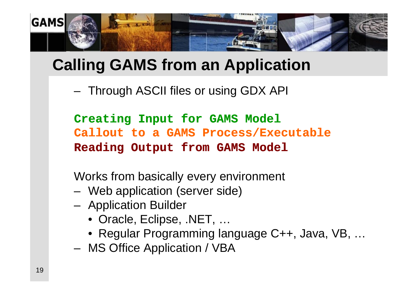

# **Calling GAMS from an Application**

– Through ASCII files or using GDX API

**Creating Input for GAMS Model Callout to a GAMS Process/Executable Reading Output from GAMS Model**

Works from basically every environment

- Web application (server side)
- Application Builder
	- Oracle, Eclipse, .NET, …
	- Regular Programming language C++, Java, VB, …
- MS Office Application / VBA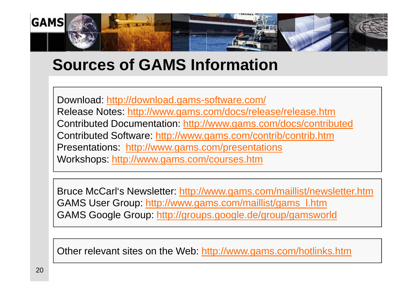

# **Sources of GAMS Information**

Download: <http://download.gams-software.com/> Release Notes: <http://www.gams.com/docs/release/release.htm> Contributed Documentation:<http://www.gams.com/docs/contributed> Contributed Software:<http://www.gams.com/contrib/contrib.htm> Presentations: <http://www.gams.com/presentations> Workshops:<http://www.gams.com/courses.htm>

Bruce McCarl's Newsletter:<http://www.gams.com/maillist/newsletter.htm> GAMS User Group: [http://www.gams.com/maillist/gams\\_l.htm](http://www.gams.com/maillist/gams_l.htm) GAMS Google Group:<http://groups.google.de/group/gamsworld>

Other relevant sites on the Web:<http://www.gams.com/hotlinks.htm>